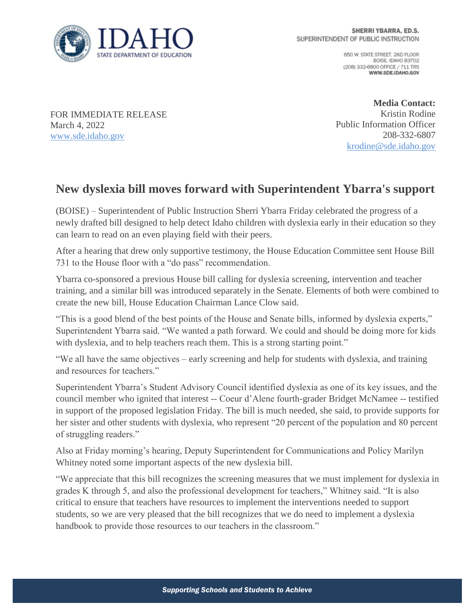

650 W. STATE STREET, 2ND FLOOR BOISE IDAHO 83702 (208) 332-6800 OFFICE / 711 TRS WWW.SDE.IDAHO.GOV

FOR IMMEDIATE RELEASE March 4, 2022 [www.sde.idaho.gov](http://www.sde.idaho.gov/)

**Media Contact:** Kristin Rodine Public Information Officer 208-332-6807 [krodine@sde.idaho.gov](mailto:krodine@sde.idaho.gov)

## **New dyslexia bill moves forward with Superintendent Ybarra's support**

(BOISE) – Superintendent of Public Instruction Sherri Ybarra Friday celebrated the progress of a newly drafted bill designed to help detect Idaho children with dyslexia early in their education so they can learn to read on an even playing field with their peers.

After a hearing that drew only supportive testimony, the House Education Committee sent House Bill 731 to the House floor with a "do pass" recommendation.

Ybarra co-sponsored a previous House bill calling for dyslexia screening, intervention and teacher training, and a similar bill was introduced separately in the Senate. Elements of both were combined to create the new bill, House Education Chairman Lance Clow said.

"This is a good blend of the best points of the House and Senate bills, informed by dyslexia experts," Superintendent Ybarra said. "We wanted a path forward. We could and should be doing more for kids with dyslexia, and to help teachers reach them. This is a strong starting point."

"We all have the same objectives – early screening and help for students with dyslexia, and training and resources for teachers."

Superintendent Ybarra's Student Advisory Council identified dyslexia as one of its key issues, and the council member who ignited that interest -- Coeur d'Alene fourth-grader Bridget McNamee -- testified in support of the proposed legislation Friday. The bill is much needed, she said, to provide supports for her sister and other students with dyslexia, who represent "20 percent of the population and 80 percent of struggling readers."

Also at Friday morning's hearing, Deputy Superintendent for Communications and Policy Marilyn Whitney noted some important aspects of the new dyslexia bill.

"We appreciate that this bill recognizes the screening measures that we must implement for dyslexia in grades K through 5, and also the professional development for teachers," Whitney said. "It is also critical to ensure that teachers have resources to implement the interventions needed to support students, so we are very pleased that the bill recognizes that we do need to implement a dyslexia handbook to provide those resources to our teachers in the classroom."